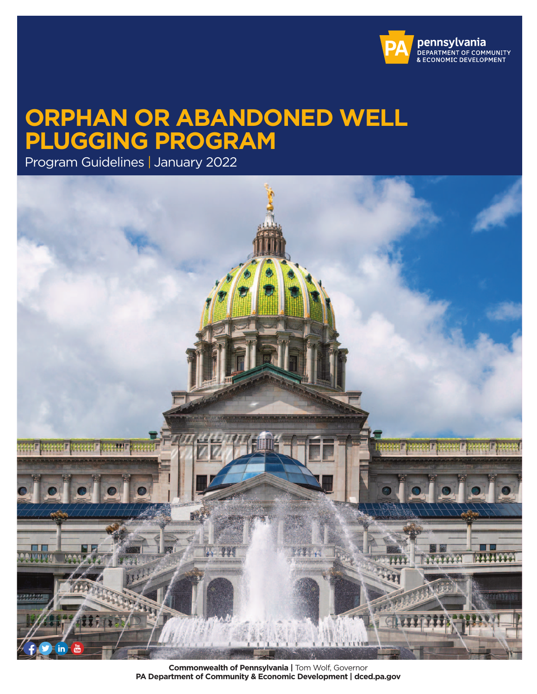

# <span id="page-0-0"></span>**ORPHAN OR ABANDONED WELL PLUGGING PROGRAM**

Program Guidelines | January 2022



**Commonwealth of Pennsylvania |** Tom Wolf, Governor **PA Department of Community & Economic Development | dced.pa.gov**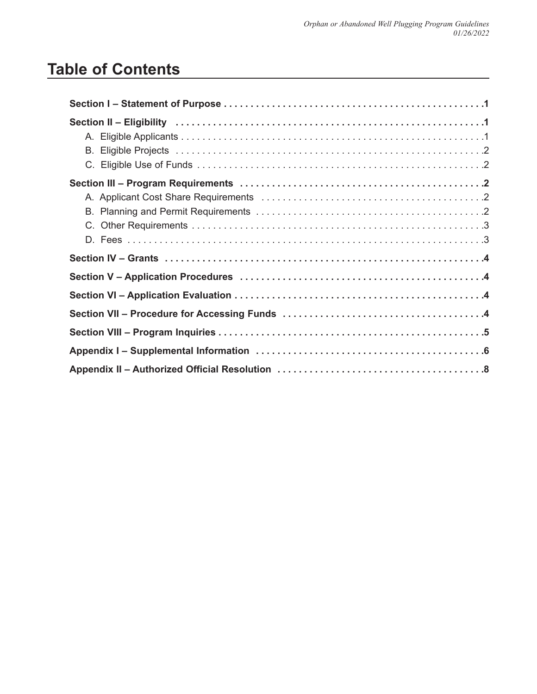# <span id="page-1-0"></span>**Table of Contents**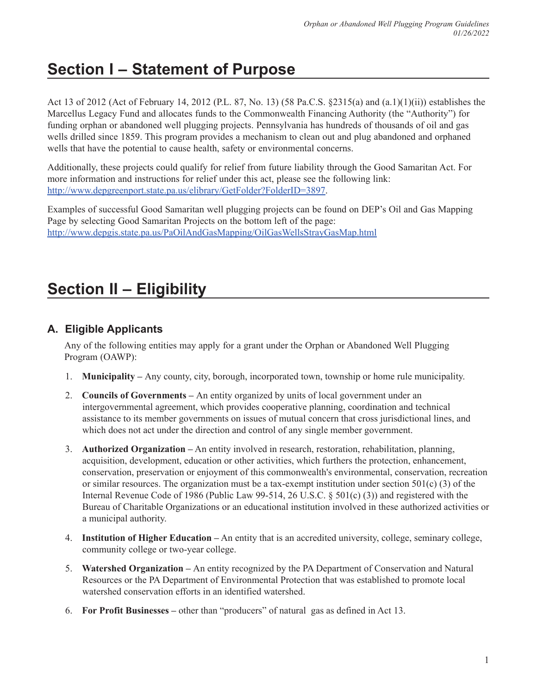# **Section I – Statement of Purpose**

Act 13 of 2012 (Act of February 14, 2012 (P.L. 87, No. 13) (58 Pa.C.S. §2315(a) and (a.1)(1)(ii)) establishes the Marcellus Legacy Fund and allocates funds to the Commonwealth Financing Authority (the "Authority") for funding orphan or abandoned well plugging projects. Pennsylvania has hundreds of thousands of oil and gas wells drilled since 1859. This program provides a mechanism to clean out and plug abandoned and orphaned wells that have the potential to cause health, safety or environmental concerns.

Additionally, these projects could qualify for relief from future liability through the Good Samaritan Act. For more information and instructions for relief under this act, please see the following link: [http://www.depgreenport.state.pa.us/elibrary/GetFolder?FolderID=3897.](http://www.depgreenport.state.pa.us/elibrary/GetFolder?FolderID=3897)

Examples of successful Good Samaritan well plugging projects can be found on DEP's Oil and Gas Mapping Page by selecting Good Samaritan Projects on the bottom left of the page: <http://www.depgis.state.pa.us/PaOilAndGasMapping/OilGasWellsStrayGasMap.html>

# **Section II – Eligibility**

# **A. Eligible Applicants**

Any of the following entities may apply for a grant under the Orphan or Abandoned Well Plugging Program (OAWP):

- 1. **Municipality** Any county, city, borough, incorporated town, township or home rule municipality.
- 2. **Councils of Governments** An entity organized by units of local government under an intergovernmental agreement, which provides cooperative planning, coordination and technical assistance to its member governments on issues of mutual concern that cross jurisdictional lines, and which does not act under the direction and control of any single member government.
- 3. **Authorized Organization –** An entity involved in research, restoration, rehabilitation, planning, acquisition, development, education or other activities, which furthers the protection, enhancement, conservation, preservation or enjoyment of this commonwealth's environmental, conservation, recreation or similar resources. The organization must be a tax-exempt institution under section  $501(c)$  (3) of the Internal Revenue Code of 1986 (Public Law 99-514, 26 U.S.C. § 501(c) (3)) and registered with the Bureau of Charitable Organizations or an educational institution involved in these authorized activities or a municipal authority.
- 4. **Institution of Higher Education –** An entity that is an accredited university, college, seminary college, community college or two-year college.
- 5. **Watershed Organization** An entity recognized by the PA Department of Conservation and Natural Resources or the PA Department of Environmental Protection that was established to promote local watershed conservation efforts in an identified watershed.
- 6. **For Profit Businesses –** other than "producers" of natural gas as defined in Act 13.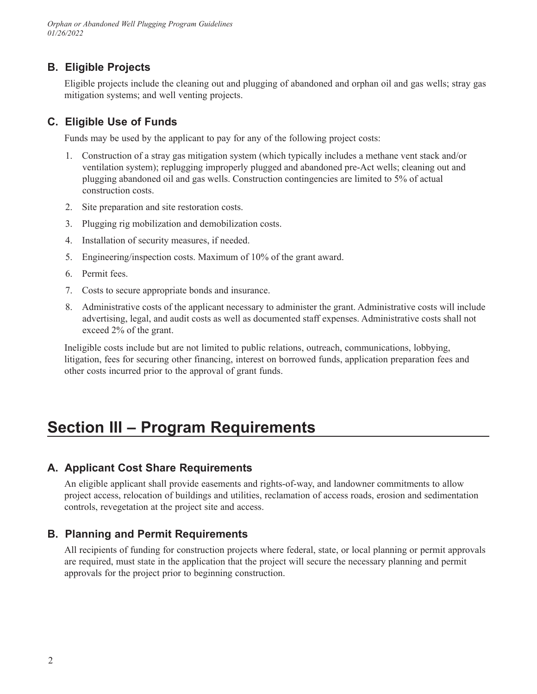# **B. Eligible Projects**

Eligible projects include the cleaning out and plugging of abandoned and orphan oil and gas wells; stray gas mitigation systems; and well venting projects.

## **C. Eligible Use of Funds**

Funds may be used by the applicant to pay for any of the following project costs:

- 1. Construction of a stray gas mitigation system (which typically includes a methane vent stack and/or ventilation system); replugging improperly plugged and abandoned pre-Act wells; cleaning out and plugging abandoned oil and gas wells. Construction contingencies are limited to 5% of actual construction costs.
- 2. Site preparation and site restoration costs.
- 3. Plugging rig mobilization and demobilization costs.
- 4. Installation of security measures, if needed.
- 5. Engineering/inspection costs. Maximum of 10% of the grant award.
- 6. Permit fees.
- 7. Costs to secure appropriate bonds and insurance.
- 8. Administrative costs of the applicant necessary to administer the grant. Administrative costs will include advertising, legal, and audit costs as well as documented staff expenses. Administrative costs shall not exceed 2% of the grant.

Ineligible costs include but are not limited to public relations, outreach, communications, lobbying, litigation, fees for securing other financing, interest on borrowed funds, application preparation fees and other costs incurred prior to the approval of grant funds.

# **Section III – Program Requirements**

## **A. Applicant Cost Share Requirements**

An eligible applicant shall provide easements and rights-of-way, and landowner commitments to allow project access, relocation of buildings and utilities, reclamation of access roads, erosion and sedimentation controls, revegetation at the project site and access.

## **B. Planning and Permit Requirements**

All recipients of funding for construction projects where federal, state, or local planning or permit approvals are required, must state in the application that the project will secure the necessary planning and permit approvals for the project prior to beginning construction.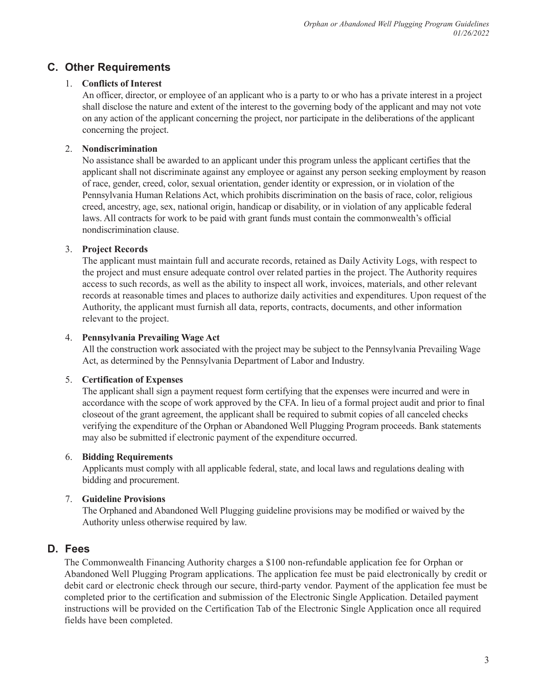# <span id="page-4-0"></span>**C. Other Requirements**

### 1. **Conflicts of Interest**

An officer, director, or employee of an applicant who is a party to or who has a private interest in a project shall disclose the nature and extent of the interest to the governing body of the applicant and may not vote on any action of the applicant concerning the project, nor participate in the deliberations of the applicant concerning the project.

### 2. **Nondiscrimination**

No assistance shall be awarded to an applicant under this program unless the applicant certifies that the applicant shall not discriminate against any employee or against any person seeking employment by reason of race, gender, creed, color, sexual orientation, gender identity or expression, or in violation of the Pennsylvania Human Relations Act, which prohibits discrimination on the basis of race, color, religious creed, ancestry, age, sex, national origin, handicap or disability, or in violation of any applicable federal laws. All contracts for work to be paid with grant funds must contain the commonwealth's official nondiscrimination clause.

### 3. **Project Records**

The applicant must maintain full and accurate records, retained as Daily Activity Logs, with respect to the project and must ensure adequate control over related parties in the project. The Authority requires access to such records, as well as the ability to inspect all work, invoices, materials, and other relevant records at reasonable times and places to authorize daily activities and expenditures. Upon request of the Authority, the applicant must furnish all data, reports, contracts, documents, and other information relevant to the project.

### 4. **Pennsylvania Prevailing Wage Act**

All the construction work associated with the project may be subject to the Pennsylvania Prevailing Wage Act, as determined by the Pennsylvania Department of Labor and Industry.

### 5. **Certification of Expenses**

The applicant shall sign a payment request form certifying that the expenses were incurred and were in accordance with the scope of work approved by the CFA. In lieu of a formal project audit and prior to final closeout of the grant agreement, the applicant shall be required to submit copies of all canceled checks verifying the expenditure of the Orphan or Abandoned Well Plugging Program proceeds. Bank statements may also be submitted if electronic payment of the expenditure occurred.

### 6. **Bidding Requirements**

Applicants must comply with all applicable federal, state, and local laws and regulations dealing with bidding and procurement.

### 7. **Guideline Provisions**

The Orphaned and Abandoned Well Plugging guideline provisions may be modified or waived by the Authority unless otherwise required by law.

## **D. Fees**

The Commonwealth Financing Authority charges a \$100 non-refundable application fee for Orphan or Abandoned Well Plugging Program applications. The application fee must be paid electronically by credit or debit card or electronic check through our secure, third-party vendor. Payment of the application fee must be completed prior to the certification and submission of the Electronic Single Application. Detailed payment instructions will be provided on the Certification Tab of the Electronic Single Application once all required fields have been completed.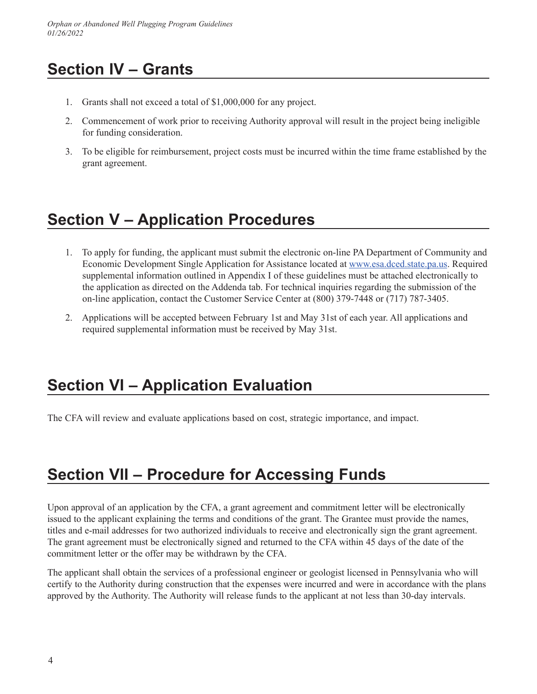# <span id="page-5-0"></span>**Section IV – Grants**

- 1. Grants shall not exceed a total of \$1,000,000 for any project.
- 2. Commencement of work prior to receiving Authority approval will result in the project being ineligible for funding consideration.
- 3. To be eligible for reimbursement, project costs must be incurred within the time frame established by the grant agreement.

# **Section V – Application Procedures**

- 1. To apply for funding, the applicant must submit the electronic on-line PA Department of Community and Economic Development Single Application for Assistance located at [www.esa.dced.state.pa.us.](https://www.esa.dced.state.pa.us/login.aspx?var=5) Required supplemental information outlined in Appendix I of these guidelines must be attached electronically to the application as directed on the Addenda tab. For technical inquiries regarding the submission of the on-line application, contact the Customer Service Center at (800) 379-7448 or (717) 787-3405.
- 2. Applications will be accepted between February 1st and May 31st of each year. All applications and required supplemental information must be received by May 31st.

# **Section VI – Application Evaluation**

The CFA will review and evaluate applications based on cost, strategic importance, and impact.

# **Section VII – Procedure for Accessing Funds**

Upon approval of an application by the CFA, a grant agreement and commitment letter will be electronically issued to the applicant explaining the terms and conditions of the grant. The Grantee must provide the names, titles and e-mail addresses for two authorized individuals to receive and electronically sign the grant agreement. The grant agreement must be electronically signed and returned to the CFA within 45 days of the date of the commitment letter or the offer may be withdrawn by the CFA.

The applicant shall obtain the services of a professional engineer or geologist licensed in Pennsylvania who will certify to the Authority during construction that the expenses were incurred and were in accordance with the plans approved by the Authority. The Authority will release funds to the applicant at not less than 30-day intervals.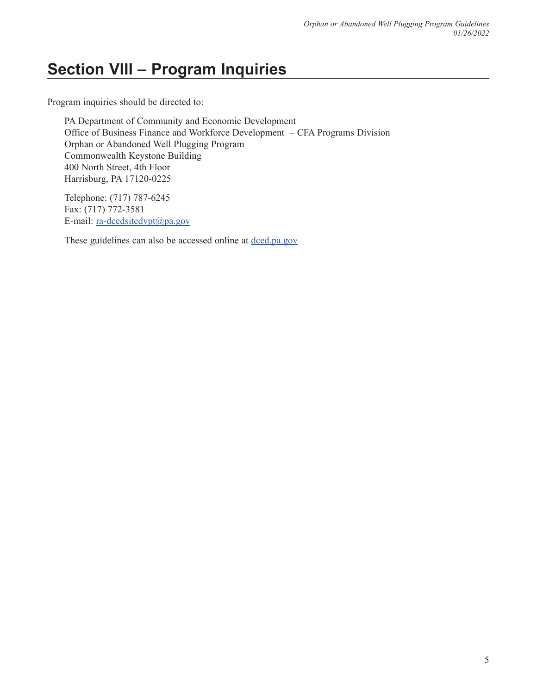# <span id="page-6-0"></span>**Section VIII – Program Inquiries**

Program inquiries should be directed to:

PA Department of Community and Economic Development Office of Business Finance and Workforce Development – CFA Programs Division Orphan or Abandoned Well Plugging Program Commonwealth Keystone Building 400 North Street, 4th Floor Harrisburg, PA 17120-0225

Telephone: (717) 787-6245 Fax: (717) 772-3581 E-mail: [ra-dcedsitedvpt@pa.gov](mailto:ra-dcedsitedvpt@pa.gov)

These guidelines can also be accessed online at [dced.pa.gov](https://dced.pa.gov/)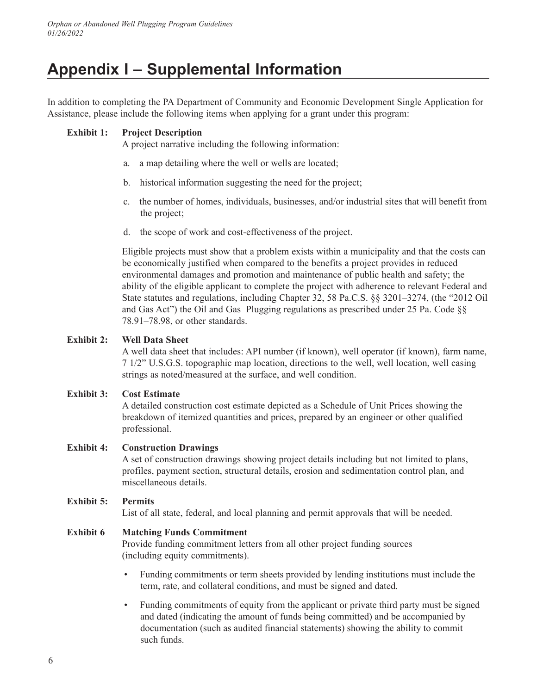# <span id="page-7-0"></span>**Appendix I – Supplemental Information**

In addition to completing the PA Department of Community and Economic Development Single Application for Assistance, please include the following items when applying for a grant under this program:

#### **Exhibit 1: Project Description**

A project narrative including the following information:

- a. a map detailing where the well or wells are located;
- b. historical information suggesting the need for the project;
- c. the number of homes, individuals, businesses, and/or industrial sites that will benefit from the project;
- d. the scope of work and cost-effectiveness of the project.

Eligible projects must show that a problem exists within a municipality and that the costs can be economically justified when compared to the benefits a project provides in reduced environmental damages and promotion and maintenance of public health and safety; the ability of the eligible applicant to complete the project with adherence to relevant Federal and State statutes and regulations, including Chapter 32, 58 Pa.C.S. §§ 3201–3274, (the "2012 Oil and Gas Act") the Oil and Gas Plugging regulations as prescribed under 25 Pa. Code §§ 78.91–78.98, or other standards.

### **Exhibit 2: Well Data Sheet**

A well data sheet that includes: API number (if known), well operator (if known), farm name, 7 1/2" U.S.G.S. topographic map location, directions to the well, well location, well casing strings as noted/measured at the surface, and well condition.

### **Exhibit 3: Cost Estimate**

A detailed construction cost estimate depicted as a Schedule of Unit Prices showing the breakdown of itemized quantities and prices, prepared by an engineer or other qualified professional.

### **Exhibit 4: Construction Drawings**

A set of construction drawings showing project details including but not limited to plans, profiles, payment section, structural details, erosion and sedimentation control plan, and miscellaneous details.

### **Exhibit 5: Permits**

List of all state, federal, and local planning and permit approvals that will be needed.

### **Exhibit 6 Matching Funds Commitment**

Provide funding commitment letters from all other project funding sources (including equity commitments).

- Funding commitments or term sheets provided by lending institutions must include the term, rate, and collateral conditions, and must be signed and dated.
- Funding commitments of equity from the applicant or private third party must be signed and dated (indicating the amount of funds being committed) and be accompanied by documentation (such as audited financial statements) showing the ability to commit such funds.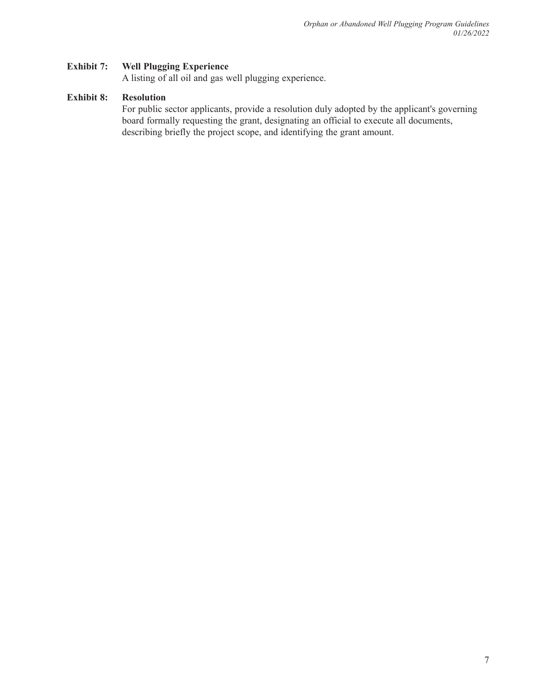#### **Exhibit 7: Well Plugging Experience**

A listing of all oil and gas well plugging experience.

### **Exhibit 8: Resolution**

For public sector applicants, provide a resolution duly adopted by the applicant's governing board formally requesting the grant, designating an official to execute all documents, describing briefly the project scope, and identifying the grant amount.